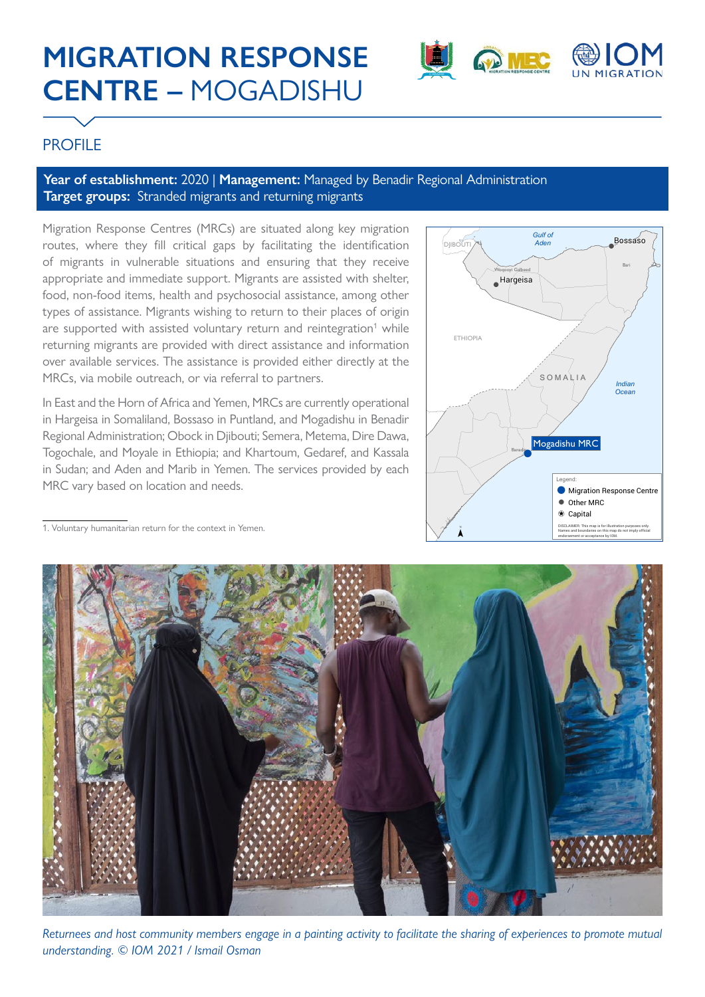# **MIGRATION RESPONSE CENTRE –** MOGADISHU



## **PROFILE**

#### Year of establishment: 2020 | Management: Managed by Benadir Regional Administration **Target groups:** Stranded migrants and returning migrants

Migration Response Centres (MRCs) are situated along key migration routes, where they fill critical gaps by facilitating the identification of migrants in vulnerable situations and ensuring that they receive appropriate and immediate support. Migrants are assisted with shelter, food, non-food items, health and psychosocial assistance, among other types of assistance. Migrants wishing to return to their places of origin are supported with assisted voluntary return and reintegration<sup>1</sup> while returning migrants are provided with direct assistance and information over available services. The assistance is provided either directly at the MRCs, via mobile outreach, or via referral to partners.

In East and the Horn of Africa and Yemen, MRCs are currently operational in Hargeisa in Somaliland, Bossaso in Puntland, and Mogadishu in Benadir Regional Administration; Obock in Djibouti; Semera, Metema, Dire Dawa, Togochale, and Moyale in Ethiopia; and Khartoum, Gedaref, and Kassala in Sudan; and Aden and Marib in Yemen. The services provided by each MRC vary based on location and needs.



1. Voluntary humanitarian return for the context in Yemen.



*Returnees and host community members engage in a painting activity to facilitate the sharing of experiences to promote mutual understanding. © IOM 2021 / Ismail Osman*